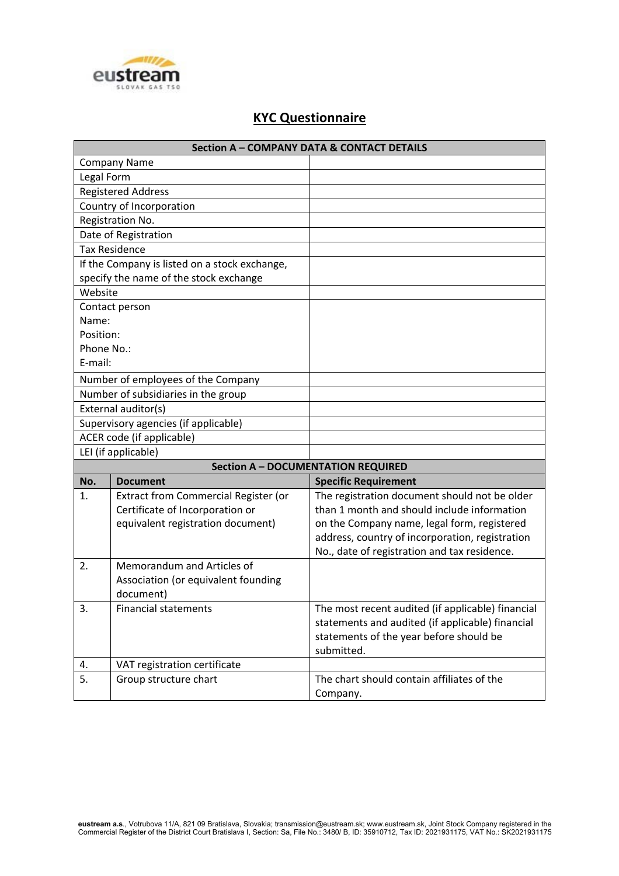

## **KYC Questionnaire**

| <b>Section A - COMPANY DATA &amp; CONTACT DETAILS</b> |                                                  |                                                   |  |  |
|-------------------------------------------------------|--------------------------------------------------|---------------------------------------------------|--|--|
|                                                       | <b>Company Name</b>                              |                                                   |  |  |
| Legal Form                                            |                                                  |                                                   |  |  |
| <b>Registered Address</b>                             |                                                  |                                                   |  |  |
|                                                       | Country of Incorporation                         |                                                   |  |  |
| Registration No.                                      |                                                  |                                                   |  |  |
| Date of Registration                                  |                                                  |                                                   |  |  |
|                                                       | <b>Tax Residence</b>                             |                                                   |  |  |
|                                                       | If the Company is listed on a stock exchange,    |                                                   |  |  |
|                                                       | specify the name of the stock exchange           |                                                   |  |  |
| Website                                               |                                                  |                                                   |  |  |
|                                                       | Contact person                                   |                                                   |  |  |
| Name:                                                 |                                                  |                                                   |  |  |
| Position:                                             |                                                  |                                                   |  |  |
| Phone No.:                                            |                                                  |                                                   |  |  |
| E-mail:                                               |                                                  |                                                   |  |  |
|                                                       | Number of employees of the Company               |                                                   |  |  |
|                                                       | Number of subsidiaries in the group              |                                                   |  |  |
|                                                       | External auditor(s)                              |                                                   |  |  |
|                                                       | Supervisory agencies (if applicable)             |                                                   |  |  |
|                                                       | ACER code (if applicable)                        |                                                   |  |  |
|                                                       | LEI (if applicable)                              |                                                   |  |  |
|                                                       |                                                  | <b>Section A - DOCUMENTATION REQUIRED</b>         |  |  |
| No.                                                   | <b>Document</b>                                  | <b>Specific Requirement</b>                       |  |  |
| 1.                                                    | Extract from Commercial Register (or             | The registration document should not be older     |  |  |
|                                                       | Certificate of Incorporation or                  | than 1 month and should include information       |  |  |
|                                                       | equivalent registration document)                | on the Company name, legal form, registered       |  |  |
|                                                       |                                                  | address, country of incorporation, registration   |  |  |
|                                                       |                                                  | No., date of registration and tax residence.      |  |  |
| 2.                                                    | Memorandum and Articles of                       |                                                   |  |  |
|                                                       | Association (or equivalent founding<br>document) |                                                   |  |  |
|                                                       | <b>Financial statements</b>                      | The most recent audited (if applicable) financial |  |  |
| 3.                                                    |                                                  | statements and audited (if applicable) financial  |  |  |
|                                                       |                                                  | statements of the year before should be           |  |  |
|                                                       |                                                  | submitted.                                        |  |  |
| 4.                                                    | VAT registration certificate                     |                                                   |  |  |
| 5.                                                    | Group structure chart                            | The chart should contain affiliates of the        |  |  |
|                                                       |                                                  | Company.                                          |  |  |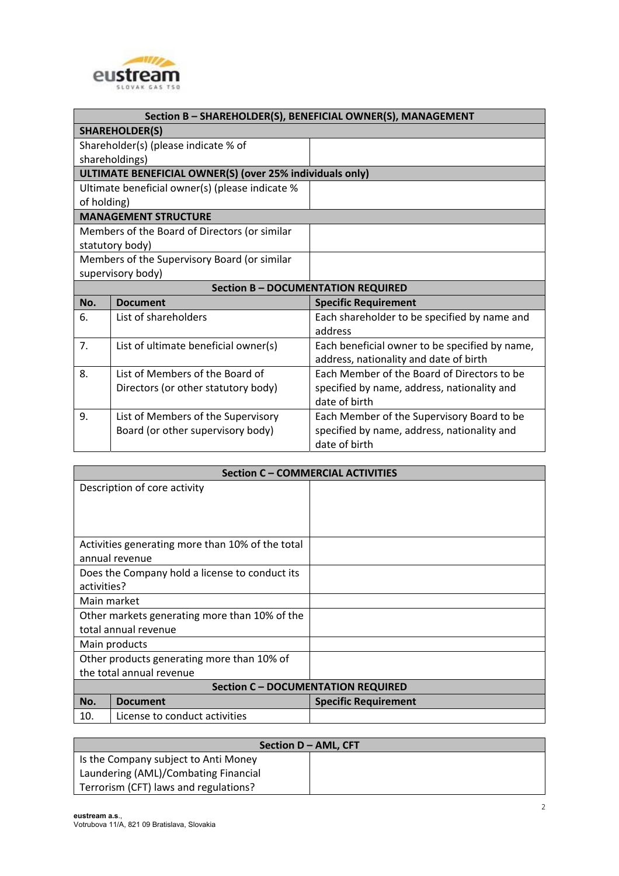

| Section B - SHAREHOLDER(S), BENEFICIAL OWNER(S), MANAGEMENT |                                      |                                                |  |  |
|-------------------------------------------------------------|--------------------------------------|------------------------------------------------|--|--|
| <b>SHAREHOLDER(S)</b>                                       |                                      |                                                |  |  |
| Shareholder(s) (please indicate % of                        |                                      |                                                |  |  |
| shareholdings)                                              |                                      |                                                |  |  |
| ULTIMATE BENEFICIAL OWNER(S) (over 25% individuals only)    |                                      |                                                |  |  |
| Ultimate beneficial owner(s) (please indicate %             |                                      |                                                |  |  |
| of holding)                                                 |                                      |                                                |  |  |
| <b>MANAGEMENT STRUCTURE</b>                                 |                                      |                                                |  |  |
| Members of the Board of Directors (or similar               |                                      |                                                |  |  |
| statutory body)                                             |                                      |                                                |  |  |
| Members of the Supervisory Board (or similar                |                                      |                                                |  |  |
|                                                             | supervisory body)                    |                                                |  |  |
| <b>Section B - DOCUMENTATION REQUIRED</b>                   |                                      |                                                |  |  |
| No.                                                         | <b>Document</b>                      | <b>Specific Requirement</b>                    |  |  |
| 6.                                                          | List of shareholders                 | Each shareholder to be specified by name and   |  |  |
|                                                             |                                      | address                                        |  |  |
| 7.                                                          | List of ultimate beneficial owner(s) | Each beneficial owner to be specified by name, |  |  |
|                                                             |                                      | address, nationality and date of birth         |  |  |
| 8.                                                          | List of Members of the Board of      | Each Member of the Board of Directors to be    |  |  |
|                                                             | Directors (or other statutory body)  | specified by name, address, nationality and    |  |  |
|                                                             |                                      | date of birth                                  |  |  |
| 9.                                                          | List of Members of the Supervisory   | Each Member of the Supervisory Board to be     |  |  |
|                                                             | Board (or other supervisory body)    | specified by name, address, nationality and    |  |  |
|                                                             |                                      | date of birth                                  |  |  |

| <b>Section C - COMMERCIAL ACTIVITIES</b>         |                             |  |  |  |
|--------------------------------------------------|-----------------------------|--|--|--|
| Description of core activity                     |                             |  |  |  |
|                                                  |                             |  |  |  |
|                                                  |                             |  |  |  |
|                                                  |                             |  |  |  |
| Activities generating more than 10% of the total |                             |  |  |  |
| annual revenue                                   |                             |  |  |  |
| Does the Company hold a license to conduct its   |                             |  |  |  |
| activities?                                      |                             |  |  |  |
| Main market                                      |                             |  |  |  |
| Other markets generating more than 10% of the    |                             |  |  |  |
| total annual revenue                             |                             |  |  |  |
| Main products                                    |                             |  |  |  |
| Other products generating more than 10% of       |                             |  |  |  |
| the total annual revenue                         |                             |  |  |  |
| <b>Section C - DOCUMENTATION REQUIRED</b>        |                             |  |  |  |
| No.<br><b>Document</b>                           | <b>Specific Requirement</b> |  |  |  |
| License to conduct activities<br>10.             |                             |  |  |  |

| Section $D - AML$ , CFT               |  |  |  |  |
|---------------------------------------|--|--|--|--|
| Is the Company subject to Anti Money  |  |  |  |  |
| Laundering (AML)/Combating Financial  |  |  |  |  |
| Terrorism (CFT) laws and regulations? |  |  |  |  |